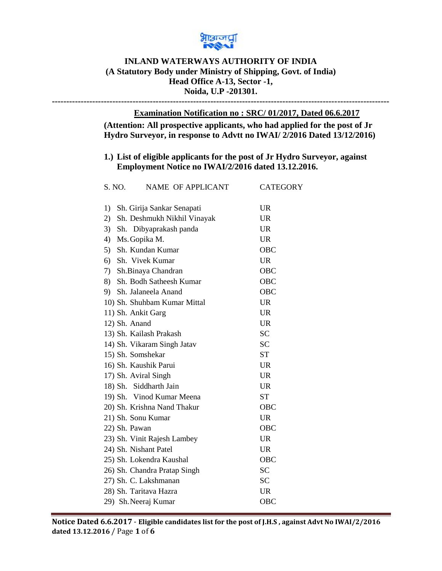

## **INLAND WATERWAYS AUTHORITY OF INDIA (A Statutory Body under Ministry of Shipping, Govt. of India) Head Office A-13, Sector -1, Noida, U.P -201301.**

**---------------------------------------------------------------------------------------------------------------------**

## **Examination Notification no : SRC/ 01/2017, Dated 06.6.2017**

**(Attention: All prospective applicants, who had applied for the post of Jr Hydro Surveyor, in response to Advtt no IWAI/ 2/2016 Dated 13/12/2016)** 

## **1.) List of eligible applicants for the post of Jr Hydro Surveyor, against Employment Notice no IWAI/2/2016 dated 13.12.2016.**

| S. NO. | <b>NAME OF APPLICANT</b>     | <b>CATEGORY</b> |
|--------|------------------------------|-----------------|
| 1)     | Sh. Girija Sankar Senapati   | <b>UR</b>       |
| 2)     | Sh. Deshmukh Nikhil Vinayak  | <b>UR</b>       |
| 3)     | Sh. Dibyaprakash panda       | <b>UR</b>       |
| 4)     | Ms. Gopika M.                | <b>UR</b>       |
| 5)     | Sh. Kundan Kumar             | OBC             |
| 6)     | Sh. Vivek Kumar              | <b>UR</b>       |
| 7)     | Sh.Binaya Chandran           | OBC             |
|        | 8) Sh. Bodh Satheesh Kumar   | OBC             |
|        | 9) Sh. Jalaneela Anand       | OBC             |
|        | 10) Sh. Shuhbam Kumar Mittal | <b>UR</b>       |
|        | 11) Sh. Ankit Garg           | <b>UR</b>       |
|        | 12) Sh. Anand                | <b>UR</b>       |
|        | 13) Sh. Kailash Prakash      | <b>SC</b>       |
|        | 14) Sh. Vikaram Singh Jatav  | <b>SC</b>       |
|        | 15) Sh. Somshekar            | SТ              |
|        | 16) Sh. Kaushik Parui        | <b>UR</b>       |
|        | 17) Sh. Aviral Singh         | <b>UR</b>       |
|        | 18) Sh. Siddharth Jain       | <b>UR</b>       |
|        | 19) Sh. Vinod Kumar Meena    | <b>ST</b>       |
|        | 20) Sh. Krishna Nand Thakur  | OBC             |
|        | 21) Sh. Sonu Kumar           | <b>UR</b>       |
|        | 22) Sh. Pawan                | OBC             |
|        | 23) Sh. Vinit Rajesh Lambey  | <b>UR</b>       |
|        | 24) Sh. Nishant Patel        | <b>UR</b>       |
|        | 25) Sh. Lokendra Kaushal     | OBC             |
|        | 26) Sh. Chandra Pratap Singh | <b>SC</b>       |
|        | 27) Sh. C. Lakshmanan        | <b>SC</b>       |
|        | 28) Sh. Taritava Hazra       | <b>UR</b>       |
|        | 29) Sh. Neeraj Kumar         | OBC             |
|        |                              |                 |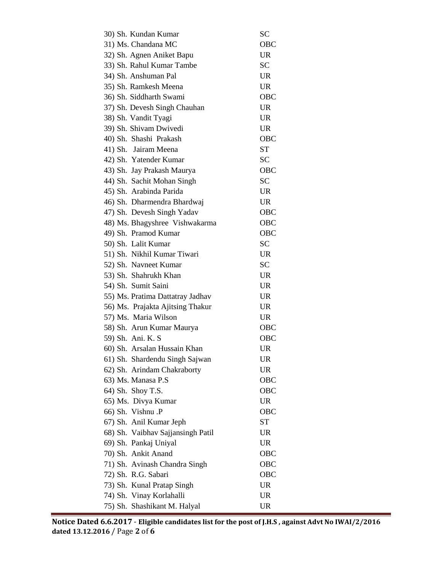| 30) Sh. Kundan Kumar              | SС         |
|-----------------------------------|------------|
| 31) Ms. Chandana MC               | <b>OBC</b> |
| 32) Sh. Agnen Aniket Bapu         | <b>UR</b>  |
| 33) Sh. Rahul Kumar Tambe         | <b>SC</b>  |
| 34) Sh. Anshuman Pal              | <b>UR</b>  |
| 35) Sh. Ramkesh Meena             | <b>UR</b>  |
| 36) Sh. Siddharth Swami           | OBC        |
| 37) Sh. Devesh Singh Chauhan      | <b>UR</b>  |
| 38) Sh. Vandit Tyagi              | <b>UR</b>  |
| 39) Sh. Shivam Dwivedi            | <b>UR</b>  |
| 40) Sh. Shashi Prakash            | OBC        |
| 41) Sh. Jairam Meena              | <b>ST</b>  |
| 42) Sh. Yatender Kumar            | <b>SC</b>  |
| 43) Sh. Jay Prakash Maurya        | OBC        |
| 44) Sh. Sachit Mohan Singh        | <b>SC</b>  |
| 45) Sh. Arabinda Parida           | <b>UR</b>  |
| 46) Sh. Dharmendra Bhardwaj       | <b>UR</b>  |
| 47) Sh. Devesh Singh Yadav        | OBC        |
| 48) Ms. Bhagyshree Vishwakarma    | OBC        |
| 49) Sh. Pramod Kumar              | <b>OBC</b> |
| 50) Sh. Lalit Kumar               | <b>SC</b>  |
| 51) Sh. Nikhil Kumar Tiwari       | <b>UR</b>  |
| 52) Sh. Navneet Kumar             | <b>SC</b>  |
| 53) Sh. Shahrukh Khan             | <b>UR</b>  |
| 54) Sh. Sumit Saini               | <b>UR</b>  |
| 55) Ms. Pratima Dattatray Jadhav  | <b>UR</b>  |
| 56) Ms. Prajakta Ajitsing Thakur  | <b>UR</b>  |
| 57) Ms. Maria Wilson              | <b>UR</b>  |
| 58) Sh. Arun Kumar Maurya         | OBC        |
| 59) Sh. Ani. K. S                 | OBC        |
| 60) Sh. Arsalan Hussain Khan      | <b>UR</b>  |
| 61) Sh. Shardendu Singh Sajwan    | <b>UR</b>  |
| 62) Sh. Arindam Chakraborty       | <b>UR</b>  |
| 63) Ms. Manasa P.S                | <b>OBC</b> |
| 64) Sh. Shoy T.S.                 | <b>OBC</b> |
| 65) Ms. Divya Kumar               | <b>UR</b>  |
| 66) Sh. Vishnu .P                 | <b>OBC</b> |
| 67) Sh. Anil Kumar Jeph           | <b>ST</b>  |
| 68) Sh. Vaibhav Sajjansingh Patil | <b>UR</b>  |
| 69) Sh. Pankaj Uniyal             | <b>UR</b>  |
| 70) Sh. Ankit Anand               | <b>OBC</b> |
| 71) Sh. Avinash Chandra Singh     | OBC        |
| 72) Sh. R.G. Sabari               | <b>OBC</b> |
| 73) Sh. Kunal Pratap Singh        | <b>UR</b>  |
| 74) Sh. Vinay Korlahalli          | <b>UR</b>  |
| 75) Sh. Shashikant M. Halyal      | <b>UR</b>  |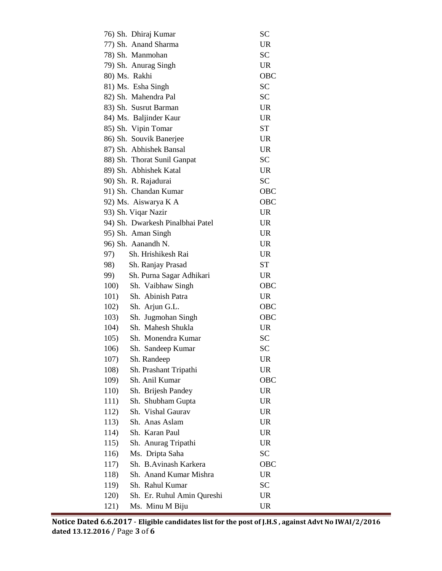| 76) Sh. Dhiraj Kumar               | SС        |
|------------------------------------|-----------|
| 77) Sh. Anand Sharma               | <b>UR</b> |
| 78) Sh. Manmohan                   | <b>SC</b> |
| 79) Sh. Anurag Singh               | <b>UR</b> |
| 80) Ms. Rakhi                      | OBC       |
| 81) Ms. Esha Singh                 | <b>SC</b> |
| 82) Sh. Mahendra Pal               | <b>SC</b> |
| 83) Sh. Susrut Barman              | <b>UR</b> |
| 84) Ms. Baljinder Kaur             | <b>UR</b> |
| 85) Sh. Vipin Tomar                | ST        |
| 86) Sh. Souvik Banerjee            | <b>UR</b> |
| 87) Sh. Abhishek Bansal            | <b>UR</b> |
| 88) Sh. Thorat Sunil Ganpat        | <b>SC</b> |
| 89) Sh. Abhishek Katal             | <b>UR</b> |
| 90) Sh. R. Rajadurai               | SС        |
| 91) Sh. Chandan Kumar              | OBC       |
| 92) Ms. Aiswarya K A               | OBC       |
| 93) Sh. Viqar Nazir                | <b>UR</b> |
| 94) Sh. Dwarkesh Pinalbhai Patel   | <b>UR</b> |
| 95) Sh. Aman Singh                 | <b>UR</b> |
| 96) Sh. Aanandh N.                 | <b>UR</b> |
| Sh. Hrishikesh Rai<br>97)          | <b>UR</b> |
| 98)<br>Sh. Ranjay Prasad           | <b>ST</b> |
| Sh. Purna Sagar Adhikari<br>99)    | <b>UR</b> |
| 100) Sh. Vaibhaw Singh             | OBC       |
| Sh. Abinish Patra<br>101)          | <b>UR</b> |
| 102)<br>Sh. Arjun G.L.             | OBC       |
| 103)<br>Sh. Jugmohan Singh         | OBC       |
| Sh. Mahesh Shukla<br>104)          | <b>UR</b> |
| 105)<br>Sh. Monendra Kumar         | <b>SC</b> |
| Sh. Sandeep Kumar<br>106)          | <b>SC</b> |
| 107)<br>Sh. Randeep                | UR        |
| 108)<br>Sh. Prashant Tripathi      | UR        |
| 109)<br>Sh. Anil Kumar             | OBC       |
| 110)<br>Sh. Brijesh Pandey         | <b>UR</b> |
| Sh. Shubham Gupta<br>111)          | <b>UR</b> |
| Sh. Vishal Gaurav<br>112)          | <b>UR</b> |
| 113)<br>Sh. Anas Aslam             | <b>UR</b> |
| 114)<br>Sh. Karan Paul             | <b>UR</b> |
| Sh. Anurag Tripathi<br>115)        | <b>UR</b> |
| Ms. Dripta Saha<br>116)            | SC        |
| Sh. B. Avinash Karkera<br>117)     | OBC       |
| Sh. Anand Kumar Mishra<br>118)     | <b>UR</b> |
| Sh. Rahul Kumar<br>119)            | <b>SC</b> |
| Sh. Er. Ruhul Amin Qureshi<br>120) | <b>UR</b> |
| Ms. Minu M Biju<br>121)            | UR        |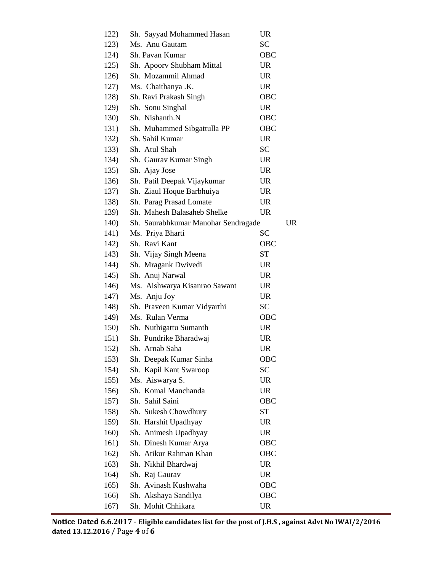| 122) | Sh. Sayyad Mohammed Hasan           | <b>UR</b>  |           |
|------|-------------------------------------|------------|-----------|
| 123) | Ms. Anu Gautam                      | SC         |           |
| 124) | Sh. Pavan Kumar                     | OBC        |           |
| 125) | Sh. Apoorv Shubham Mittal           | <b>UR</b>  |           |
| 126) | Sh. Mozammil Ahmad                  | <b>UR</b>  |           |
| 127) | Ms. Chaithanya .K.                  | <b>UR</b>  |           |
| 128) | Sh. Ravi Prakash Singh              | <b>OBC</b> |           |
| 129) | Sh. Sonu Singhal                    | <b>UR</b>  |           |
| 130) | Sh. Nishanth.N                      | <b>OBC</b> |           |
| 131) | Sh. Muhammed Sibgattulla PP         | <b>OBC</b> |           |
| 132) | Sh. Sahil Kumar                     | <b>UR</b>  |           |
| 133) | Sh. Atul Shah                       | SC         |           |
| 134) | Sh. Gaurav Kumar Singh              | <b>UR</b>  |           |
| 135) | Sh. Ajay Jose                       | <b>UR</b>  |           |
| 136) | Sh. Patil Deepak Vijaykumar         | <b>UR</b>  |           |
| 137) | Sh. Ziaul Hoque Barbhuiya           | <b>UR</b>  |           |
| 138) | Sh. Parag Prasad Lomate             | <b>UR</b>  |           |
| 139) | Sh. Mahesh Balasaheb Shelke         | <b>UR</b>  |           |
| 140) | Sh. Saurabhkumar Manohar Sendragade |            | <b>UR</b> |
| 141) | Ms. Priya Bharti                    | SС         |           |
| 142) | Sh. Ravi Kant                       | OBC        |           |
| 143) | Sh. Vijay Singh Meena               | ST         |           |
| 144) | Sh. Mragank Dwivedi                 | <b>UR</b>  |           |
| 145) | Sh. Anuj Narwal                     | <b>UR</b>  |           |
| 146) | Ms. Aishwarya Kisanrao Sawant       | <b>UR</b>  |           |
| 147) | Ms. Anju Joy                        | <b>UR</b>  |           |
| 148) | Sh. Praveen Kumar Vidyarthi         | <b>SC</b>  |           |
| 149) | Ms. Rulan Verma                     | OBC        |           |
| 150) | Sh. Nuthigattu Sumanth              | <b>UR</b>  |           |
| 151) | Sh. Pundrike Bharadwaj              | <b>UR</b>  |           |
| 152) | Sh. Arnab Saha                      | UR         |           |
| 153) | Sh. Deepak Kumar Sinha              | OBC        |           |
| 154) | Sh. Kapil Kant Swaroop              | <b>SC</b>  |           |
| 155) | Ms. Aiswarya S.                     | <b>UR</b>  |           |
| 156) | Sh. Komal Manchanda                 | <b>UR</b>  |           |
| 157) | Sh. Sahil Saini                     | OBC        |           |
| 158) | Sh. Sukesh Chowdhury                | ST         |           |
| 159) | Sh. Harshit Upadhyay                | UR         |           |
| 160) | Sh. Animesh Upadhyay                | <b>UR</b>  |           |
| 161) | Sh. Dinesh Kumar Arya               | <b>OBC</b> |           |
| 162) | Sh. Atikur Rahman Khan              | OBC        |           |
| 163) | Sh. Nikhil Bhardwaj                 | <b>UR</b>  |           |
| 164) | Sh. Raj Gaurav                      | UR         |           |
| 165) | Sh. Avinash Kushwaha                | <b>OBC</b> |           |
| 166) | Sh. Akshaya Sandilya                | OBC        |           |
| 167) | Sh. Mohit Chhikara                  | UR         |           |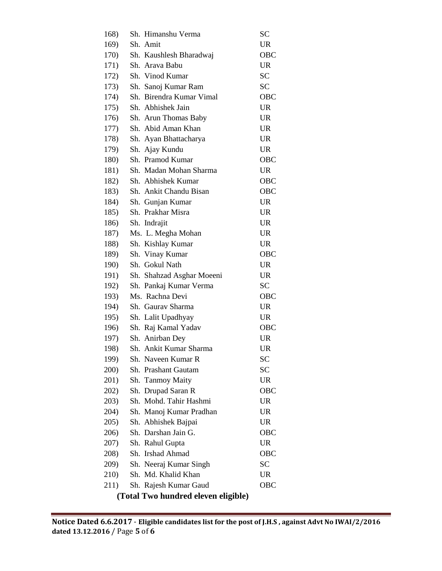| 168)                                |  | Sh. Himanshu Verma        | <b>SC</b>  |  |  |
|-------------------------------------|--|---------------------------|------------|--|--|
| 169)                                |  | Sh. Amit                  | <b>UR</b>  |  |  |
| 170)                                |  | Sh. Kaushlesh Bharadwaj   | <b>OBC</b> |  |  |
| 171)                                |  | Sh. Arava Babu            | <b>UR</b>  |  |  |
| 172)                                |  | Sh. Vinod Kumar           | <b>SC</b>  |  |  |
| 173)                                |  | Sh. Sanoj Kumar Ram       | <b>SC</b>  |  |  |
| 174)                                |  | Sh. Birendra Kumar Vimal  | <b>OBC</b> |  |  |
| 175)                                |  | Sh. Abhishek Jain         | <b>UR</b>  |  |  |
| 176)                                |  | Sh. Arun Thomas Baby      | <b>UR</b>  |  |  |
| 177)                                |  | Sh. Abid Aman Khan        | <b>UR</b>  |  |  |
| 178)                                |  | Sh. Ayan Bhattacharya     | <b>UR</b>  |  |  |
| 179)                                |  | Sh. Ajay Kundu            | <b>UR</b>  |  |  |
| 180)                                |  | Sh. Pramod Kumar          | <b>OBC</b> |  |  |
| 181)                                |  | Sh. Madan Mohan Sharma    | <b>UR</b>  |  |  |
| 182)                                |  | Sh. Abhishek Kumar        | <b>OBC</b> |  |  |
| 183)                                |  | Sh. Ankit Chandu Bisan    | <b>OBC</b> |  |  |
| 184)                                |  | Sh. Gunjan Kumar          | <b>UR</b>  |  |  |
| 185)                                |  | Sh. Prakhar Misra         | <b>UR</b>  |  |  |
| 186)                                |  | Sh. Indrajit              | <b>UR</b>  |  |  |
| 187)                                |  | Ms. L. Megha Mohan        | <b>UR</b>  |  |  |
| 188)                                |  | Sh. Kishlay Kumar         | <b>UR</b>  |  |  |
| 189)                                |  | Sh. Vinay Kumar           | <b>OBC</b> |  |  |
| 190)                                |  | Sh. Gokul Nath            | <b>UR</b>  |  |  |
| 191)                                |  | Sh. Shahzad Asghar Moeeni | <b>UR</b>  |  |  |
| 192)                                |  | Sh. Pankaj Kumar Verma    | <b>SC</b>  |  |  |
| 193)                                |  | Ms. Rachna Devi           | <b>OBC</b> |  |  |
| 194)                                |  | Sh. Gaurav Sharma         | <b>UR</b>  |  |  |
| 195)                                |  | Sh. Lalit Upadhyay        | <b>UR</b>  |  |  |
| 196)                                |  | Sh. Raj Kamal Yadav       | <b>OBC</b> |  |  |
| 197)                                |  | Sh. Anirban Dey           | <b>UR</b>  |  |  |
| 198)                                |  | Sh. Ankit Kumar Sharma    | UR         |  |  |
| 199)                                |  | Sh. Naveen Kumar R        | SC         |  |  |
| 200)                                |  | Sh. Prashant Gautam       | <b>SC</b>  |  |  |
| 201)                                |  | Sh. Tanmoy Maity          | <b>UR</b>  |  |  |
| 202)                                |  | Sh. Drupad Saran R        | OBC        |  |  |
| 203)                                |  | Sh. Mohd. Tahir Hashmi    | <b>UR</b>  |  |  |
| 204)                                |  | Sh. Manoj Kumar Pradhan   | <b>UR</b>  |  |  |
| 205)                                |  | Sh. Abhishek Bajpai       | <b>UR</b>  |  |  |
| 206)                                |  | Sh. Darshan Jain G.       | OBC        |  |  |
| 207)                                |  | Sh. Rahul Gupta           | <b>UR</b>  |  |  |
| 208)                                |  | Sh. Irshad Ahmad          | OBC        |  |  |
| 209)                                |  | Sh. Neeraj Kumar Singh    | <b>SC</b>  |  |  |
| 210)                                |  | Sh. Md. Khalid Khan       | <b>UR</b>  |  |  |
| 211)                                |  | Sh. Rajesh Kumar Gaud     | OBC        |  |  |
| (Total Two hundred eleven eligible) |  |                           |            |  |  |